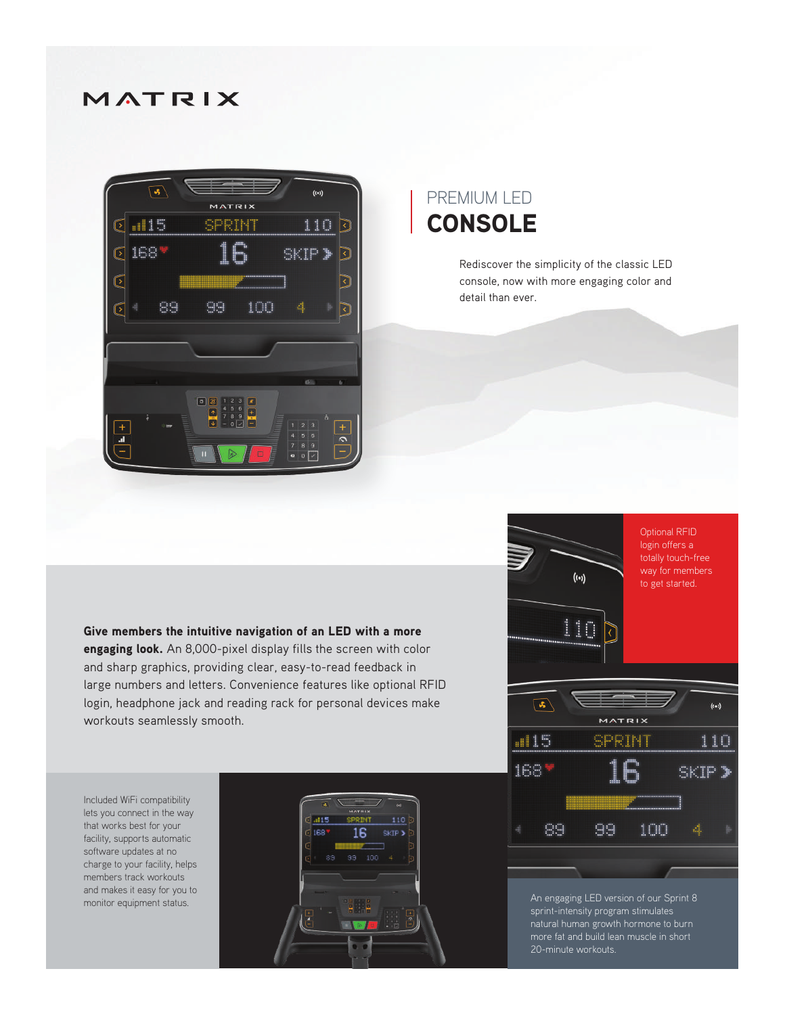## MATRIX



## PREMIUM LED **CONSOLE**

Rediscover the simplicity of the classic LED console, now with more engaging color and detail than ever.

Give members the intuitive navigation of an LED with a more engaging look. An 8,000-pixel display fills the screen with color and sharp graphics, providing clear, easy-to-read feedback in large numbers and letters. Convenience features like optional RFID login, headphone jack and reading rack for personal devices make workouts seamlessly smooth.

Included WiFi compatibility lets you connect in the way that works best for your facility, supports automatic software updates at no charge to your facility, helps members track workouts and makes it easy for you to monitor equipment status.





An engaging LED version of our Sprint 8 sprint-intensity program stimulates natural human growth hormone to burn more fat and build lean muscle in short